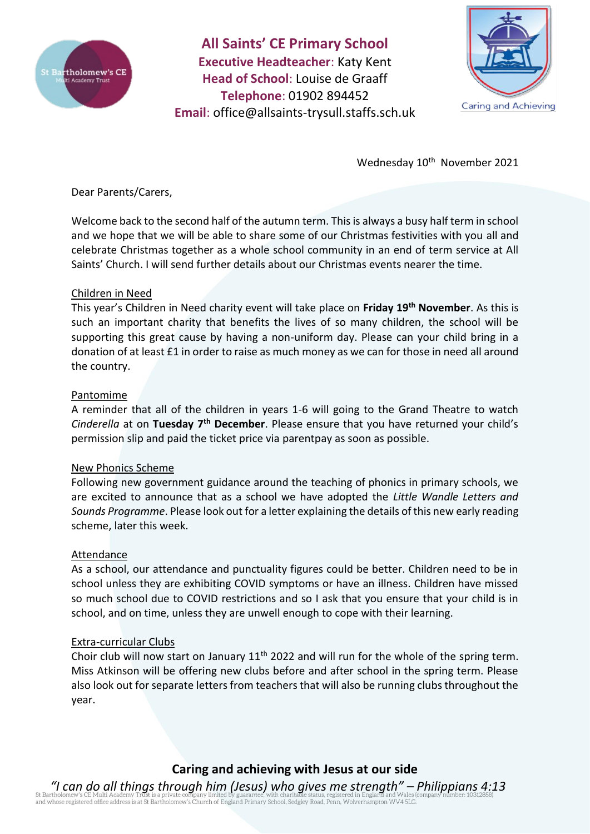

**All Saints' CE Primary School Executive Headteacher**: Katy Kent **Head of School**: Louise de Graaff **Telephone**: 01902 894452 **Email**: [office@allsaints-trysull.staffs.sch.uk](mailto:office@allsaints-trysull.staffs.sch.uk)



Wednesday 10<sup>th</sup> November 2021

Dear Parents/Carers,

Welcome back to the second half of the autumn term. This is always a busy half term in school and we hope that we will be able to share some of our Christmas festivities with you all and celebrate Christmas together as a whole school community in an end of term service at All Saints' Church. I will send further details about our Christmas events nearer the time.

## Children in Need

This year's Children in Need charity event will take place on **Friday 19th November**. As this is such an important charity that benefits the lives of so many children, the school will be supporting this great cause by having a non-uniform day. Please can your child bring in a donation of at least £1 in order to raise as much money as we can for those in need all around the country.

## Pantomime

A reminder that all of the children in years 1-6 will going to the Grand Theatre to watch *Cinderella* at on **Tuesday 7th December**. Please ensure that you have returned your child's permission slip and paid the ticket price via parentpay as soon as possible.

## New Phonics Scheme

Following new government guidance around the teaching of phonics in primary schools, we are excited to announce that as a school we have adopted the *Little Wandle Letters and Sounds Programme*. Please look out for a letter explaining the details of this new early reading scheme, later this week.

#### Attendance

As a school, our attendance and punctuality figures could be better. Children need to be in school unless they are exhibiting COVID symptoms or have an illness. Children have missed so much school due to COVID restrictions and so I ask that you ensure that your child is in school, and on time, unless they are unwell enough to cope with their learning.

#### Extra-curricular Clubs

Choir club will now start on January  $11<sup>th</sup>$  2022 and will run for the whole of the spring term. Miss Atkinson will be offering new clubs before and after school in the spring term. Please also look out for separate letters from teachers that will also be running clubs throughout the year.

# **Caring and achieving with Jesus at our side**

*"I can do all things through him (Jesus) who gives me strength" – Philippians 4:13* or barrinouniew s CE Putur Academy Trust is a private company minieur by guaranteer, wint charmade status, registered office address is at St Bartholomew's Church of England Primary School, Sedgley Road, Penn, Wolverhampto